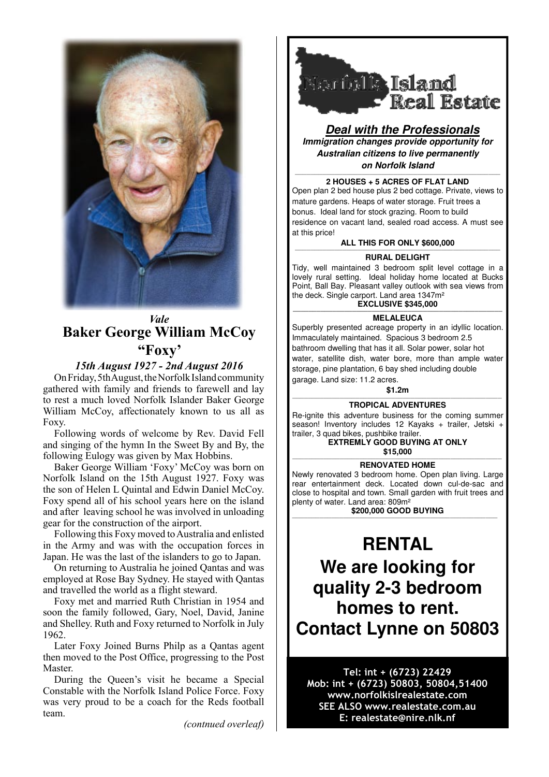

## *Vale* **Baker George William McCoy "Foxy'**

### *15th August 1927 - 2nd August 2016*

On Friday, 5th August, the Norfolk Island community gathered with family and friends to farewell and lay to rest a much loved Norfolk Islander Baker George William McCoy, affectionately known to us all as Foxy.

Following words of welcome by Rev. David Fell and singing of the hymn In the Sweet By and By, the following Eulogy was given by Max Hobbins.

Baker George William 'Foxy' McCoy was born on Norfolk Island on the 15th August 1927. Foxy was the son of Helen L Quintal and Edwin Daniel McCoy. Foxy spend all of his school years here on the island and after leaving school he was involved in unloading gear for the construction of the airport.

Following this Foxy moved to Australia and enlisted in the Army and was with the occupation forces in Japan. He was the last of the islanders to go to Japan.

On returning to Australia he joined Qantas and was employed at Rose Bay Sydney. He stayed with Qantas and travelled the world as a flight steward.

Foxy met and married Ruth Christian in 1954 and soon the family followed, Gary, Noel, David, Janine and Shelley. Ruth and Foxy returned to Norfolk in July 1962.

Later Foxy Joined Burns Philp as a Qantas agent then moved to the Post Office, progressing to the Post Master.

During the Queen's visit he became a Special Constable with the Norfolk Island Police Force. Foxy was very proud to be a coach for the Reds football team.

*(contnued overleaf)*



**Deal with the Professionals Immigration changes provide opportunity for Australian citizens to live permanently on Norfolk Island**

#### ———————————————————————————————————————————————————— **2 HOUSES + 5 ACRES OF FLAT LAND**

Open plan 2 bed house plus 2 bed cottage. Private, views to mature gardens. Heaps of water storage. Fruit trees a bonus. Ideal land for stock grazing. Room to build residence on vacant land, sealed road access. A must see at this price!

**ALL THIS FOR ONLY \$600,000**

### ———————————————————————————————————————————————————— **RURAL DELIGHT**

Tidy, well maintained 3 bedroom split level cottage in a lovely rural setting. Ideal holiday home located at Bucks Point, Ball Bay. Pleasant valley outlook with sea views from the deck. Single carport. Land area 1347m²

### **EXCLUSIVE \$345,000**

**MELALEUCA**  Superbly presented acreage property in an idyllic location. Immaculately maintained. Spacious 3 bedroom 2.5 bathroom dwelling that has it all. Solar power, solar hot water, satellite dish, water bore, more than ample water storage, pine plantation, 6 bay shed including double garage. Land size: 11.2 acres.

**\$1.2m**

#### ————————————————————————————————————————————————————— **TROPICAL ADVENTURES**

Re-ignite this adventure business for the coming summer season! Inventory includes 12 Kayaks + trailer, Jetski + trailer, 3 quad bikes, pushbike trailer.

**EXTREMLY GOOD BUYING AT ONLY \$15,000** —————————————————————————————————————————————————————

### **RENOVATED HOME**

Newly renovated 3 bedroom home. Open plan living. Large rear entertainment deck. Located down cul-de-sac and close to hospital and town. Small garden with fruit trees and plenty of water. Land area: 809m²

**\$200,000 GOOD BUYING** ————————————————————————————————————————————————————

# **RENTAL We are looking for quality 2-3 bedroom homes to rent. Contact Lynne on 50803**

### Tel: int + (6723) 22429 Mob: int + (6723) 50803, 50804,51400 www.norfolkislrealestate.com SEE ALSO www.realestate.com.au E: realestate@nire.nlk.nf